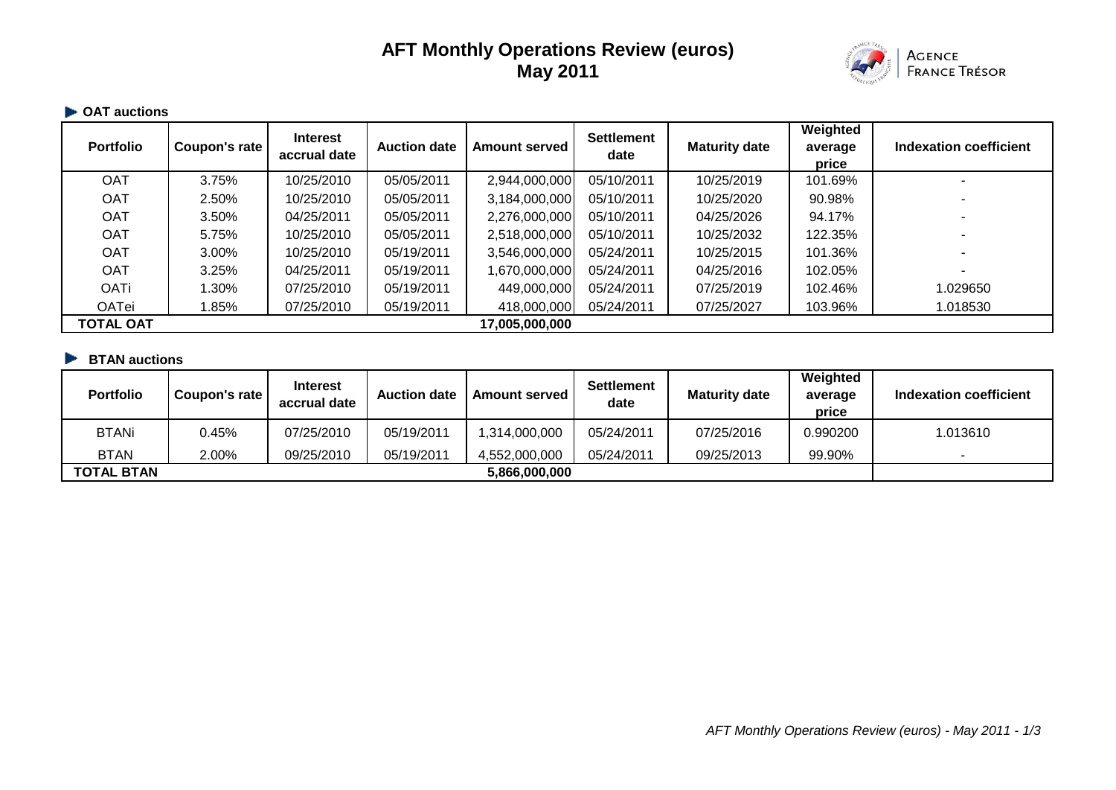# **AFT Monthly Operations Review (euros) May 2011**



# **OAT auctions**

| <b>Portfolio</b> | Coupon's rate | <b>Interest</b><br>accrual date | <b>Auction date</b> | <b>Amount served</b> | <b>Settlement</b><br>date | <b>Maturity date</b> | Weighted<br>average<br>price | Indexation coefficient |
|------------------|---------------|---------------------------------|---------------------|----------------------|---------------------------|----------------------|------------------------------|------------------------|
| <b>OAT</b>       | 3.75%         | 10/25/2010                      | 05/05/2011          | 2,944,000,000        | 05/10/2011                | 10/25/2019           | 101.69%                      |                        |
| <b>OAT</b>       | 2.50%         | 10/25/2010                      | 05/05/2011          | 3,184,000,000        | 05/10/2011                | 10/25/2020           | 90.98%                       |                        |
| <b>OAT</b>       | 3.50%         | 04/25/2011                      | 05/05/2011          | 2,276,000,000        | 05/10/2011                | 04/25/2026           | 94.17%                       |                        |
| <b>OAT</b>       | 5.75%         | 10/25/2010                      | 05/05/2011          | 2,518,000,000        | 05/10/2011                | 10/25/2032           | 122.35%                      |                        |
| <b>OAT</b>       | 3.00%         | 10/25/2010                      | 05/19/2011          | 3,546,000,000        | 05/24/2011                | 10/25/2015           | 101.36%                      |                        |
| <b>OAT</b>       | 3.25%         | 04/25/2011                      | 05/19/2011          | 670,000,000,         | 05/24/2011                | 04/25/2016           | 102.05%                      |                        |
| <b>OATi</b>      | 1.30%         | 07/25/2010                      | 05/19/2011          | 449,000,000          | 05/24/2011                | 07/25/2019           | 102.46%                      | 1.029650               |
| <b>OATei</b>     | l.85%         | 07/25/2010                      | 05/19/2011          | 418,000,000          | 05/24/2011                | 07/25/2027           | 103.96%                      | 1.018530               |
| <b>TOTAL OAT</b> |               |                                 |                     | 17,005,000,000       |                           |                      |                              |                        |

## **BTAN auctions**

| <b>Portfolio</b>  | Coupon's rate | <b>Interest</b><br>accrual date | <b>Auction date</b> | <b>Amount served I</b> | <b>Settlement</b><br>date | <b>Maturity date</b> | Weighted<br>average<br>price | Indexation coefficient |
|-------------------|---------------|---------------------------------|---------------------|------------------------|---------------------------|----------------------|------------------------------|------------------------|
| BTANi             | 0.45%         | 07/25/2010                      | 05/19/2011          | 1,314,000,000          | 05/24/2011                | 07/25/2016           | 0.990200                     | 1.013610               |
| <b>BTAN</b>       | 2.00%         | 09/25/2010                      | 05/19/2011          | 4,552,000,000          | 05/24/2011                | 09/25/2013           | 99.90%                       |                        |
| <b>TOTAL BTAN</b> | 5,866,000,000 |                                 |                     |                        |                           |                      |                              |                        |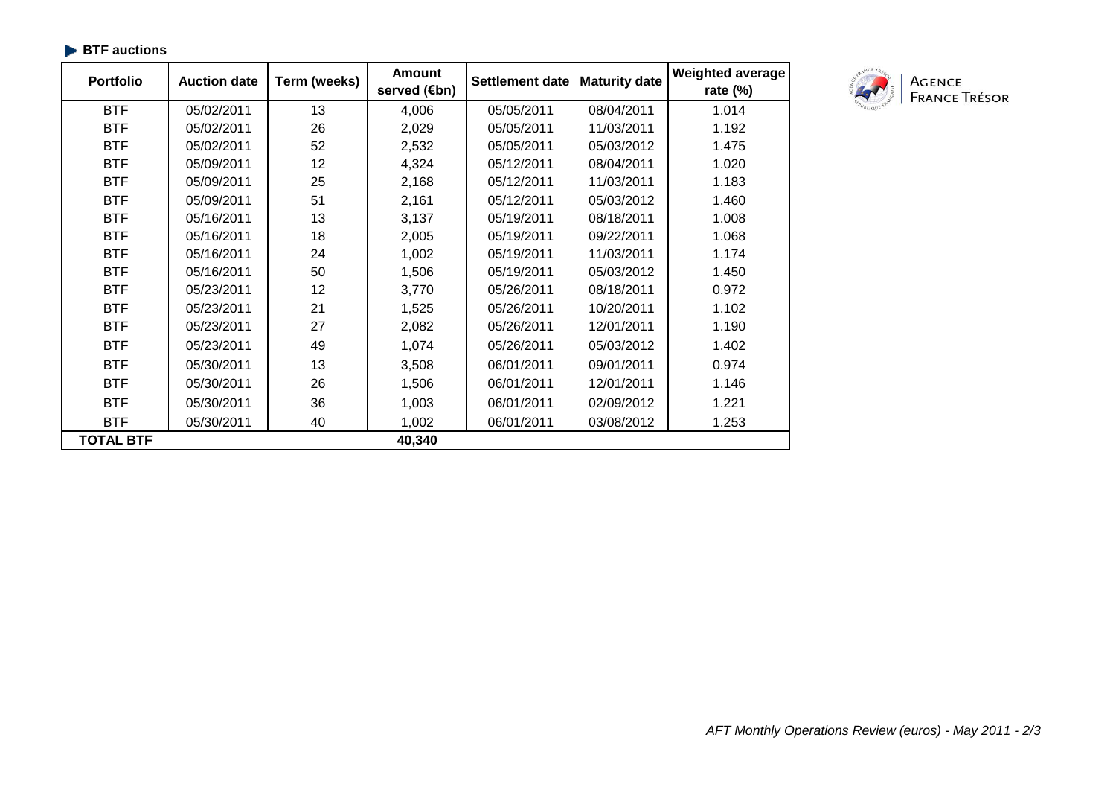| <b>Portfolio</b> | <b>Auction date</b> | Term (weeks) | <b>Amount</b><br>served (€bn) | <b>Settlement date</b> | <b>Maturity date</b> | <b>Weighted average</b><br>rate $(\%)$ |
|------------------|---------------------|--------------|-------------------------------|------------------------|----------------------|----------------------------------------|
| <b>BTF</b>       | 05/02/2011          | 13           | 4,006                         | 05/05/2011             | 08/04/2011           | 1.014                                  |
| <b>BTF</b>       | 05/02/2011          | 26           | 2,029                         | 05/05/2011             | 11/03/2011           | 1.192                                  |
| <b>BTF</b>       | 05/02/2011          | 52           | 2,532                         | 05/05/2011             | 05/03/2012           | 1.475                                  |
| <b>BTF</b>       | 05/09/2011          | 12           | 4,324                         | 05/12/2011             | 08/04/2011           | 1.020                                  |
| <b>BTF</b>       | 05/09/2011          | 25           | 2,168                         | 05/12/2011             | 11/03/2011           | 1.183                                  |
| <b>BTF</b>       | 05/09/2011          | 51           | 2,161                         | 05/12/2011             | 05/03/2012           | 1.460                                  |
| <b>BTF</b>       | 05/16/2011          | 13           | 3,137                         | 05/19/2011             | 08/18/2011           | 1.008                                  |
| <b>BTF</b>       | 05/16/2011          | 18           | 2,005                         | 05/19/2011             | 09/22/2011           | 1.068                                  |
| <b>BTF</b>       | 05/16/2011          | 24           | 1,002                         | 05/19/2011             | 11/03/2011           | 1.174                                  |
| <b>BTF</b>       | 05/16/2011          | 50           | 1,506                         | 05/19/2011             | 05/03/2012           | 1.450                                  |
| <b>BTF</b>       | 05/23/2011          | 12           | 3,770                         | 05/26/2011             | 08/18/2011           | 0.972                                  |
| <b>BTF</b>       | 05/23/2011          | 21           | 1,525                         | 05/26/2011             | 10/20/2011           | 1.102                                  |
| <b>BTF</b>       | 05/23/2011          | 27           | 2,082                         | 05/26/2011             | 12/01/2011           | 1.190                                  |
| <b>BTF</b>       | 05/23/2011          | 49           | 1,074                         | 05/26/2011             | 05/03/2012           | 1.402                                  |
| <b>BTF</b>       | 05/30/2011          | 13           | 3,508                         | 06/01/2011             | 09/01/2011           | 0.974                                  |
| <b>BTF</b>       | 05/30/2011          | 26           | 1,506                         | 06/01/2011             | 12/01/2011           | 1.146                                  |
| <b>BTF</b>       | 05/30/2011          | 36           | 1,003                         | 06/01/2011             | 02/09/2012           | 1.221                                  |
| <b>BTF</b>       | 05/30/2011          | 40           | 1,002                         | 06/01/2011             | 03/08/2012           | 1.253                                  |
| <b>TOTAL BTF</b> |                     |              | 40,340                        |                        |                      |                                        |

# **BTF auctions**